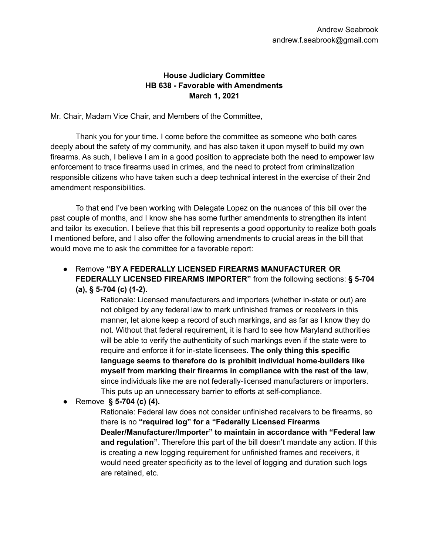## **House Judiciary Committee HB 638 - Favorable with Amendments March 1, 2021**

Mr. Chair, Madam Vice Chair, and Members of the Committee,

Thank you for your time. I come before the committee as someone who both cares deeply about the safety of my community, and has also taken it upon myself to build my own firearms. As such, I believe I am in a good position to appreciate both the need to empower law enforcement to trace firearms used in crimes, and the need to protect from criminalization responsible citizens who have taken such a deep technical interest in the exercise of their 2nd amendment responsibilities.

To that end I've been working with Delegate Lopez on the nuances of this bill over the past couple of months, and I know she has some further amendments to strengthen its intent and tailor its execution. I believe that this bill represents a good opportunity to realize both goals I mentioned before, and I also offer the following amendments to crucial areas in the bill that would move me to ask the committee for a favorable report:

● Remove **"BY A FEDERALLY LICENSED FIREARMS MANUFACTURER OR FEDERALLY LICENSED FIREARMS IMPORTER"** from the following sections: **§ 5-704 (a), § 5-704 (c) (1-2)**.

> Rationale: Licensed manufacturers and importers (whether in-state or out) are not obliged by any federal law to mark unfinished frames or receivers in this manner, let alone keep a record of such markings, and as far as I know they do not. Without that federal requirement, it is hard to see how Maryland authorities will be able to verify the authenticity of such markings even if the state were to require and enforce it for in-state licensees. **The only thing this specific language seems to therefore do is prohibit individual home-builders like myself from marking their firearms in compliance with the rest of the law**, since individuals like me are not federally-licensed manufacturers or importers. This puts up an unnecessary barrier to efforts at self-compliance.

● Remove **§ 5-704 (c) (4).**

Rationale: Federal law does not consider unfinished receivers to be firearms, so there is no **"required log" for a "Federally Licensed Firearms Dealer/Manufacturer/Importer" to maintain in accordance with "Federal law and regulation"**. Therefore this part of the bill doesn't mandate any action. If this is creating a new logging requirement for unfinished frames and receivers, it would need greater specificity as to the level of logging and duration such logs are retained, etc.